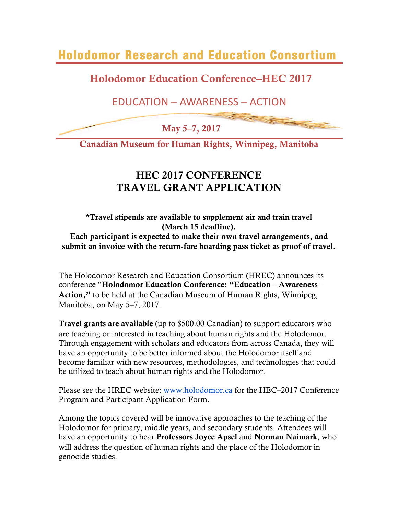**Holodomor Research and Education Consortium** 

Holodomor Education Conference–HEC 2017

## EDUCATION – AWARENESS – ACTION

May 5–7, 2017

Canadian Museum for Human Rights, Winnipeg, Manitoba

## HEC 2017 CONFERENCE TRAVEL GRANT APPLICATION

## \*Travel stipends are available to supplement air and train travel (March 15 deadline). Each participant is expected to make their own travel arrangements, and submit an invoice with the return-fare boarding pass ticket as proof of travel.

The Holodomor Research and Education Consortium (HREC) announces its conference "Holodomor Education Conference: "Education – Awareness – Action," to be held at the Canadian Museum of Human Rights, Winnipeg, Manitoba, on May 5–7, 2017.

Travel grants are available (up to \$500.00 Canadian) to support educators who are teaching or interested in teaching about human rights and the Holodomor. Through engagement with scholars and educators from across Canada, they will have an opportunity to be better informed about the Holodomor itself and become familiar with new resources, methodologies, and technologies that could be utilized to teach about human rights and the Holodomor.

Please see the HREC website: www.holodomor.ca for the HEC–2017 Conference Program and Participant Application Form.

Among the topics covered will be innovative approaches to the teaching of the Holodomor for primary, middle years, and secondary students. Attendees will have an opportunity to hear Professors Joyce Apsel and Norman Naimark, who will address the question of human rights and the place of the Holodomor in genocide studies.